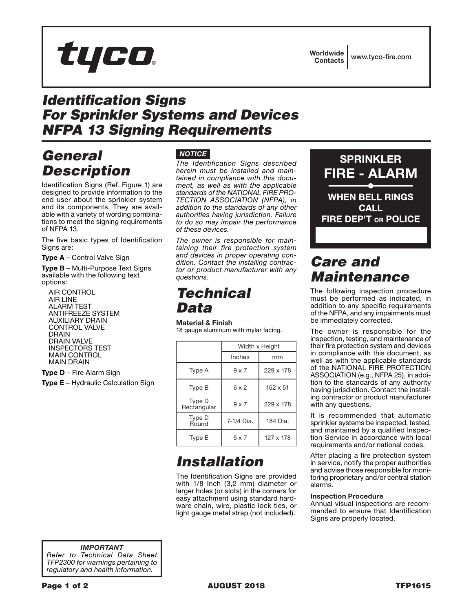*IMPORTANT Refer to Technical Data Sheet TFP2300 for warnings pertaining to regulatory and health information.*

# **Worldwide**

## *Identification Signs For Sprinkler Systems and Devices NFPA 13 Signing Requirements*

#### *General Description*

Identification Signs (Ref. Figure 1) are designed to provide information to the end user about the sprinkler system and its components. They are available with a variety of wording combinations to meet the signing requirements of NFPA 13.

tyco.

The five basic types of Identification Signs are:

Type A – Control Valve Sign

Type B – Multi-Purpose Text Signs available with the following text options:

AIR CONTROL AIR LINE ALARM TEST ANTIFREEZE SYSTEM AUXILIARY DRAIN CONTROL VALVE DRAIN DRAIN VALVE INSPECTORS TEST MAIN CONTROL MAIN DRAIN

Type D – Fire Alarm Sign

**Type E** – Hydraulic Calculation Sign

#### *NOTICE*

*The Identification Signs described herein must be installed and maintained in compliance with this document, as well as with the applicable standards of the NATIONAL FIRE PRO-TECTION ASSOCIATION (NFPA), in addition to the standards of any other authorities having jurisdiction. Failure to do so may impair the performance of these devices.*

*The owner is responsible for maintaining their fire protection system and devices in proper operating condition. Contact the installing contractor or product manufacturer with any questions.*

#### *Technical Data*

#### Material & Finish

18 gauge aluminum with mylar facing.

|                       | Width x Height |                 |
|-----------------------|----------------|-----------------|
|                       | Inches         | mm              |
| Type A                | $9 \times 7$   | 229 x 178       |
| Type B                | $6 \times 2$   | $152 \times 51$ |
| Type D<br>Rectangular | $9 \times 7$   | 229 x 178       |
| Type D<br>Round       | 7-1/4 Dia.     | 184 Dia.        |
| Type E                | $5 \times 7$   | 127 x 178       |

## *Installation*

The Identification Signs are provided with 1/8 Inch (3,2 mm) diameter or larger holes (or slots) in the corners for easy attachment using standard hardware chain, wire, plastic lock ties, or light gauge metal strap (not included).



## *Care and Maintenance*

The following inspection procedure must be performed as indicated, in addition to any specific requirements of the NFPA, and any impairments must be immediately corrected.

The owner is responsible for the inspection, testing, and maintenance of their fire protection system and devices in compliance with this document, as well as with the applicable standards of the NATIONAL FIRE PROTECTION ASSOCIATION (e.g., NFPA 25), in addition to the standards of any authority having jurisdiction. Contact the installing contractor or product manufacturer with any questions.

It is recommended that automatic sprinkler systems be inspected, tested, and maintained by a qualified Inspection Service in accordance with local requirements and/or national codes.

After placing a fire protection system in service, notify the proper authorities and advise those responsible for monitoring proprietary and/or central station alarms.

#### Inspection Procedure

Annual visual inspections are recommended to ensure that Identification Signs are properly located.

Contacts www.tyco-fire.com